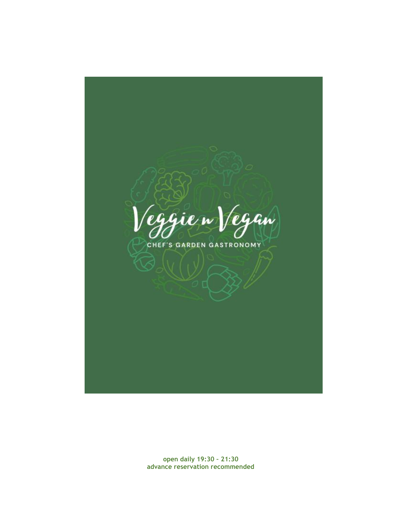*eggie* w legan CHEF'S GARDEN GASTRONOMY

**open daily 19:30 – 21:30 advance reservation recommended**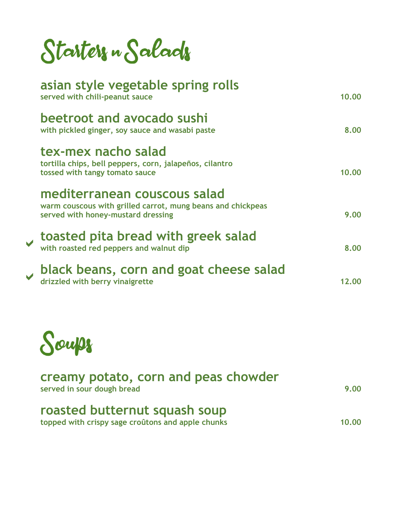Starters " Salads

| asian style vegetable spring rolls<br>served with chili-peanut sauce                                                              | 10.00 |
|-----------------------------------------------------------------------------------------------------------------------------------|-------|
| beetroot and avocado sushi<br>with pickled ginger, soy sauce and wasabi paste                                                     | 8.00  |
| tex-mex nacho salad<br>tortilla chips, bell peppers, corn, jalapeños, cilantro<br>tossed with tangy tomato sauce                  | 10.00 |
| mediterranean couscous salad<br>warm couscous with grilled carrot, mung beans and chickpeas<br>served with honey-mustard dressing | 9.00  |
| toasted pita bread with greek salad<br>with roasted red peppers and walnut dip                                                    | 8.00  |
| black beans, corn and goat cheese salad<br>drizzled with berry vinaigrette                                                        | 12.00 |
|                                                                                                                                   |       |



| creamy potato, corn and peas chowder<br>served in sour dough bread                 |       |
|------------------------------------------------------------------------------------|-------|
| roasted butternut squash soup<br>topped with crispy sage croûtons and apple chunks | 10.00 |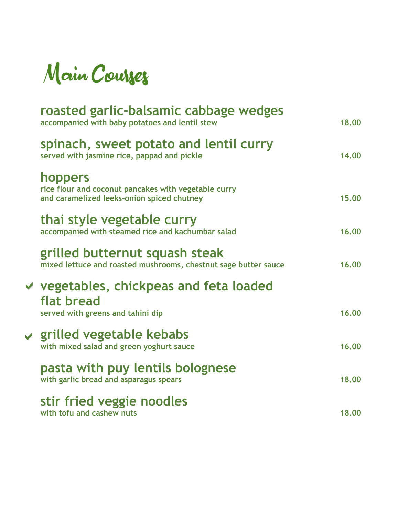

| roasted garlic-balsamic cabbage wedges<br>accompanied with baby potatoes and lentil stew                      | 18.00 |
|---------------------------------------------------------------------------------------------------------------|-------|
| spinach, sweet potato and lentil curry<br>served with jasmine rice, pappad and pickle                         | 14.00 |
| hoppers<br>rice flour and coconut pancakes with vegetable curry<br>and caramelized leeks-onion spiced chutney | 15.00 |
| thai style vegetable curry<br>accompanied with steamed rice and kachumbar salad                               | 16.00 |
| grilled butternut squash steak<br>mixed lettuce and roasted mushrooms, chestnut sage butter sauce             | 16.00 |
| $\vee$ vegetables, chickpeas and feta loaded<br>flat bread<br>served with greens and tahini dip               | 16.00 |
| $\vee$ grilled vegetable kebabs<br>with mixed salad and green yoghurt sauce                                   | 16.00 |
| pasta with puy lentils bolognese<br>with garlic bread and asparagus spears                                    | 18.00 |
| stir fried veggie noodles<br>with tofu and cashew nuts                                                        | 18.00 |